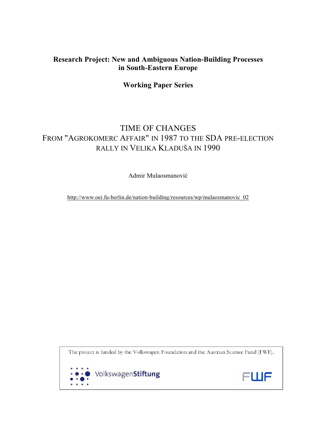# **Research Project: New and Ambiguous Nation-Building Processes in South-Eastern Europe**

## **Working Paper Series**

# TIME OF CHANGES FROM "AGROKOMERC AFFAIR" IN 1987 TO THE SDA PRE-ELECTION RALLY IN VELIKA KLADUŠA IN 1990

Admir Mulaosmanović

http://www.oei.fu-berlin.de/nation-building/resources/wp/mulaosmanovic\_02

The project is funded by the Volkswagen Foundation and the Austrian Science Fund (FWF).



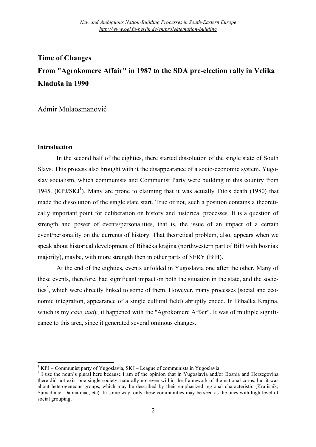# **Time of Changes From "Agrokomerc Affair" in 1987 to the SDA pre-election rally in Velika Kladuša in 1990**

Admir Mulaosmanović

## **Introduction**

In the second half of the eighties, there started dissolution of the single state of South Slavs. This process also brought with it the disappearance of a socio-economic system, Yugoslav socialism, which communists and Communist Party were building in this country from 1945. (KPJ/SKJ<sup>1</sup>). Many are prone to claiming that it was actually Tito's death (1980) that made the dissolution of the single state start. True or not, such a position contains a theoretically important point for deliberation on history and historical processes. It is a question of strength and power of events/personalities, that is, the issue of an impact of a certain event/personality on the currents of history. That theoretical problem, also, appears when we speak about historical development of Bihaćka krajina (northwestern part of BiH with bosniak majority), maybe, with more strength then in other parts of SFRY (BiH).

At the end of the eighties, events unfolded in Yugoslavia one after the other. Many of these events, therefore, had significant impact on both the situation in the state, and the societies<sup>2</sup>, which were directly linked to some of them. However, many processes (social and economic integration, appearance of a single cultural field) abruptly ended. In Bihaćka Krajina, which is my *case study*, it happened with the "Agrokomerc Affair". It was of multiple significance to this area, since it generated several ominous changes.

<sup>&</sup>lt;sup>1</sup> KPJ – Communist party of Yugoslavia, SKJ – League of communists in Yugoslavia<br><sup>2</sup> I use the noun's plural here because I am of the opinion that in Yugoslavia and/or Bosnia and Herzegovina there did not exist one single society, naturally not even within the framework of the national corps, but it was about heterogeneous groups, which may be described by their emphasized regional characteristic (Krajišnik, Šumadinac, Dalmatinac, etc). In some way, only these communities may be seen as the ones with high level of social grouping.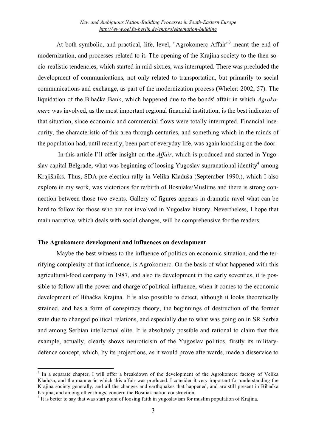At both symbolic, and practical, life, level, "Agrokomerc Affair"<sup>3</sup> meant the end of modernization, and processes related to it. The opening of the Krajina society to the then socio-realistic tendencies, which started in mid-sixties, was interrupted. There was precluded the development of communications, not only related to transportation, but primarily to social communications and exchange, as part of the modernization process (Wheler: 2002, 57). The liquidation of the Bihaćka Bank, which happened due to the bonds' affair in which *Agrokomerc* was involved, as the most important regional financial institution, is the best indicator of that situation, since economic and commercial flows were totally interrupted. Financial insecurity, the characteristic of this area through centuries, and something which in the minds of the population had, until recently, been part of everyday life, was again knocking on the door.

In this article I'll offer insight on the *Affair*, which is produced and started in Yugoslav capital Belgrade, what was beginning of loosing Yugoslav supranational identity<sup>4</sup> among Krajišniks. Thus, SDA pre-election rally in Velika Kladuša (September 1990.), which I also explore in my work, was victorious for re/birth of Bosniaks/Muslims and there is strong connection between those two events. Gallery of figures appears in dramatic ravel what can be hard to follow for those who are not involved in Yugoslav history. Nevertheless, I hope that main narrative, which deals with social changes, will be comprehensive for the readers.

## **The Agrokomerc development and influences on development**

Maybe the best witness to the influence of politics on economic situation, and the terrifying complexity of that influence, is Agrokomerc. On the basis of what happened with this agricultural-food company in 1987, and also its development in the early seventies, it is possible to follow all the power and charge of political influence, when it comes to the economic development of Bihaćka Krajina. It is also possible to detect, although it looks theoretically strained, and has a form of conspiracy theory, the beginnings of destruction of the former state due to changed political relations, and especially due to what was going on in SR Serbia and among Serbian intellectual elite. It is absolutely possible and rational to claim that this example, actually, clearly shows neuroticism of the Yugoslav politics, firstly its militarydefence concept, which, by its projections, as it would prove afterwards, made a disservice to

<sup>&</sup>lt;sup>3</sup> In a separate chapter, I will offer a breakdown of the development of the Agrokomerc factory of Velika Kladuša, and the manner in which this affair was produced. I consider it very important for understanding the Krajina society generally, and all the changes and earthquakes that happened, and are still present in Bihaćka<br>Krajina, and among other things, concern the Bosniak nation construction.

 $4\text{ It}$  is better to say that was start point of loosing faith in yugoslavism for muslim population of Krajina.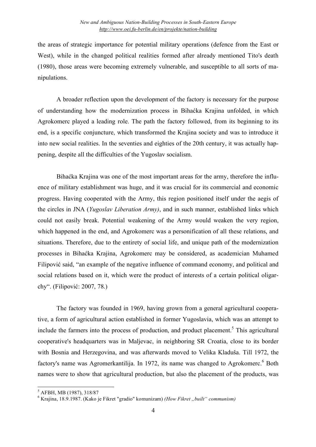the areas of strategic importance for potential military operations (defence from the East or West), while in the changed political realities formed after already mentioned Tito's death (1980), those areas were becoming extremely vulnerable, and susceptible to all sorts of manipulations.

A broader reflection upon the development of the factory is necessary for the purpose of understanding how the modernization process in Bihaćka Krajina unfolded, in which Agrokomerc played a leading role. The path the factory followed, from its beginning to its end, is a specific conjuncture, which transformed the Krajina society and was to introduce it into new social realities. In the seventies and eighties of the 20th century, it was actually happening, despite all the difficulties of the Yugoslav socialism.

Bihaćka Krajina was one of the most important areas for the army, therefore the influence of military establishment was huge, and it was crucial for its commercial and economic progress. Having cooperated with the Army, this region positioned itself under the aegis of the circles in JNA (*Yugoslav Liberation Army)*, and in such manner, established links which could not easily break. Potential weakening of the Army would weaken the very region, which happened in the end, and Agrokomerc was a personification of all these relations, and situations. Therefore, due to the entirety of social life, and unique path of the modernization processes in Bihaćka Krajina, Agrokomerc may be considered, as academician Muhamed Filipović said, "an example of the negative influence of command economy, and political and social relations based on it, which were the product of interests of a certain political oligarchy". (Filipović: 2007, 78.)

The factory was founded in 1969, having grown from a general agricultural cooperative, a form of agricultural action established in former Yugoslavia, which was an attempt to include the farmers into the process of production, and product placement.<sup>5</sup> This agricultural cooperative's headquarters was in Maljevac, in neighboring SR Croatia, close to its border with Bosnia and Herzegovina, and was afterwards moved to Velika Kladuša. Till 1972, the factory's name was Agromerkantilija. In 1972, its name was changed to Agrokomerc.<sup>6</sup> Both names were to show that agricultural production, but also the placement of the products, was

<sup>5</sup> AFBH, MB (1987), 318/87 <sup>6</sup> Krajina, 18.9.1987. (Kako je Fikret "gradio" komunizam) *(How Fikret "built" communism)*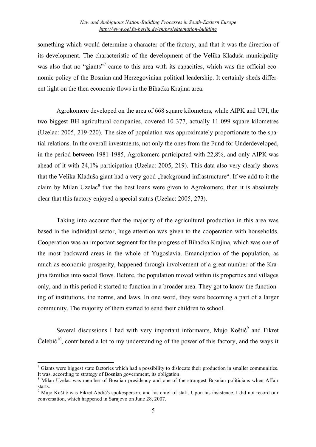something which would determine a character of the factory, and that it was the direction of its development. The characteristic of the development of the Velika Kladuša municipality was also that no "giants"<sup>7</sup> came to this area with its capacities, which was the official economic policy of the Bosnian and Herzegovinian political leadership. It certainly sheds different light on the then economic flows in the Bihaćka Krajina area.

Agrokomerc developed on the area of 668 square kilometers, while AIPK and UPI, the two biggest BH agricultural companies, covered 10 377, actually 11 099 square kilometres (Uzelac: 2005, 219-220). The size of population was approximately proportionate to the spatial relations. In the overall investments, not only the ones from the Fund for Underdeveloped, in the period between 1981-1985, Agrokomerc participated with 22,8%, and only AIPK was ahead of it with 24,1% participation (Uzelac: 2005, 219). This data also very clearly shows that the Velika Kladuša giant had a very good "background infrastructure". If we add to it the claim by Milan Uzelac $8$  that the best loans were given to Agrokomerc, then it is absolutely clear that this factory enjoyed a special status (Uzelac: 2005, 273).

Taking into account that the majority of the agricultural production in this area was based in the individual sector, huge attention was given to the cooperation with households. Cooperation was an important segment for the progress of Bihaćka Krajina, which was one of the most backward areas in the whole of Yugoslavia. Emancipation of the population, as much as economic prosperity, happened through involvement of a great number of the Krajina families into social flows. Before, the population moved within its properties and villages only, and in this period it started to function in a broader area. They got to know the functioning of institutions, the norms, and laws. In one word, they were becoming a part of a larger community. The majority of them started to send their children to school.

Several discussions I had with very important informants, Mujo Koštić<sup>9</sup> and Fikret Čelebić<sup>10</sup>, contributed a lot to my understanding of the power of this factory, and the ways it

 $\sigma$  Giants were biggest state factories which had a possibility to dislocate their production in smaller communities. It was, according to strategy of Bosnian government, its obligation. <sup>8</sup> Milan Uzelac was member of Bosnian presidency and one of the strongest Bosnian politicians when Affair

starts.<br><sup>9</sup> Mujo Koštić was Fikret Abdić's spokesperson, and his chief of staff. Upon his insistence, I did not record our

conversation, which happened in Sarajevo on June 28, 2007.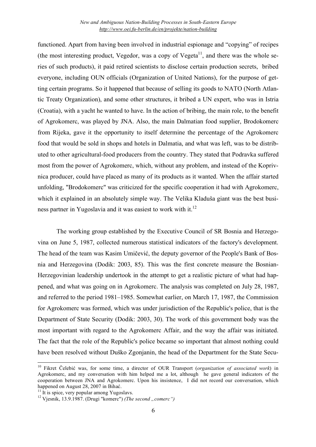functioned. Apart from having been involved in industrial espionage and "copying" of recipes (the most interesting product, Vegedor, was a copy of Vegeta $^{11}$ , and there was the whole series of such products), it paid retired scientists to disclose certain production secrets, bribed everyone, including OUN officials (Organization of United Nations), for the purpose of getting certain programs. So it happened that because of selling its goods to NATO (North Atlantic Treaty Organization), and some other structures, it bribed a UN expert, who was in Istria (Croatia), with a yacht he wanted to have. In the action of bribing, the main role, to the benefit of Agrokomerc, was played by JNA. Also, the main Dalmatian food supplier, Brodokomerc from Rijeka, gave it the opportunity to itself determine the percentage of the Agrokomerc food that would be sold in shops and hotels in Dalmatia, and what was left, was to be distributed to other agricultural-food producers from the country. They stated that Podravka suffered most from the power of Agrokomerc, which, without any problem, and instead of the Koprivnica producer, could have placed as many of its products as it wanted. When the affair started unfolding, "Brodokomerc" was criticized for the specific cooperation it had with Agrokomerc, which it explained in an absolutely simple way. The Velika Kladuša giant was the best business partner in Yugoslavia and it was easiest to work with it.<sup>12</sup>

The working group established by the Executive Council of SR Bosnia and Herzegovina on June 5, 1987, collected numerous statistical indicators of the factory's development. The head of the team was Kasim Umičević, the deputy governor of the People's Bank of Bosnia and Herzegovina (Dodik: 2003, 85). This was the first concrete measure the Bosnian-Herzegovinian leadership undertook in the attempt to get a realistic picture of what had happened, and what was going on in Agrokomerc. The analysis was completed on July 28, 1987, and referred to the period 1981–1985. Somewhat earlier, on March 17, 1987, the Commission for Agrokomerc was formed, which was under jurisdiction of the Republic's police, that is the Department of State Security (Dodik: 2003, 30). The work of this government body was the most important with regard to the Agrokomerc Affair, and the way the affair was initiated. The fact that the role of the Republic's police became so important that almost nothing could have been resolved without Duško Zgonjanin, the head of the Department for the State Secu-

<sup>10</sup> Fikret <sup>Č</sup>elebi<sup>ć</sup> was, for some time, <sup>a</sup> director of OUR Transport (*organization of associated work*) in Agrokomerc, and my conversation with him helped me a lot, although he gave general indicators of the cooperation between JNA and Agrokomerc. Upon his insistence, I did not record our conversation, which happened on August 28, 2007 in Bihać.

<sup>&</sup>lt;sup>11</sup> It is spice, very popular among Yugoslavs.<br><sup>12</sup> Vjesnik, 13.9.1987. (Drugi "komerc") *(The second , comerc*")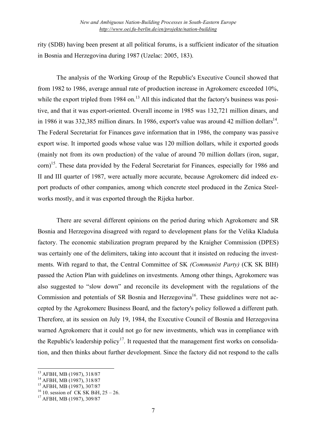rity (SDB) having been present at all political forums, is a sufficient indicator of the situation in Bosnia and Herzegovina during 1987 (Uzelac: 2005, 183).

The analysis of the Working Group of the Republic's Executive Council showed that from 1982 to 1986, average annual rate of production increase in Agrokomerc exceeded 10%, while the export tripled from 1984 on.<sup>13</sup> All this indicated that the factory's business was positive, and that it was export-oriented. Overall income in 1985 was 132,721 million dinars, and in 1986 it was 332,385 million dinars. In 1986, export's value was around 42 million dollars<sup>14</sup>. The Federal Secretariat for Finances gave information that in 1986, the company was passive export wise. It imported goods whose value was 120 million dollars, while it exported goods (mainly not from its own production) of the value of around 70 million dollars (iron, sugar, corn)<sup>15</sup>. These data provided by the Federal Secretariat for Finances, especially for 1986 and II and III quarter of 1987, were actually more accurate, because Agrokomerc did indeed export products of other companies, among which concrete steel produced in the Zenica Steelworks mostly, and it was exported through the Rijeka harbor.

There are several different opinions on the period during which Agrokomerc and SR Bosnia and Herzegovina disagreed with regard to development plans for the Velika Kladuša factory. The economic stabilization program prepared by the Kraigher Commission (DPES) was certainly one of the delimiters, taking into account that it insisted on reducing the investments. With regard to that, the Central Committee of SK *(Communist Party)* (CK SK BIH) passed the Action Plan with guidelines on investments. Among other things, Agrokomerc was also suggested to "slow down" and reconcile its development with the regulations of the Commission and potentials of SR Bosnia and Herzegovina<sup>16</sup>. These guidelines were not accepted by the Agrokomerc Business Board, and the factory's policy followed a different path. Therefore, at its session on July 19, 1984, the Executive Council of Bosnia and Herzegovina warned Agrokomerc that it could not go for new investments, which was in compliance with the Republic's leadership policy<sup>17</sup>. It requested that the management first works on consolidation, and then thinks about further development. Since the factory did not respond to the calls

<sup>&</sup>lt;sup>13</sup> AFBH, MB (1987), 318/87<br><sup>14</sup> AFBH, MB (1987), 318/87<br><sup>15</sup> AFBH, MB (1987), 307/87<br><sup>16</sup> 10. session of CK SK BiH, 25 – 26.<br><sup>17</sup> AFBH, MB (1987), 309/87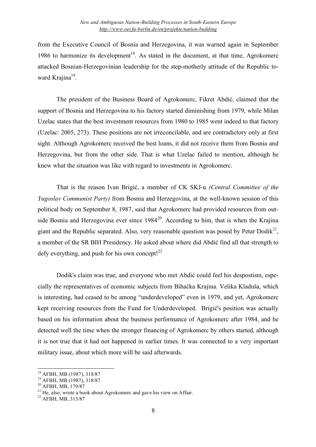from the Executive Council of Bosnia and Herzegovina, it was warned again in September 1986 to harmonize its development<sup>18</sup>. As stated in the document, at that time, Agrokomerc attacked Bosnian-Herzegovinian leadership for the step-motherly attitude of the Republic toward Krajina<sup>19</sup>.

The president of the Business Board of Agrokomerc, Fikret Abdić, claimed that the support of Bosnia and Herzegovina to his factory started diminishing from 1979, while Milan Uzelac states that the best investment resources from 1980 to 1985 went indeed to that factory (Uzelac: 2005, 273). These positions are not irreconcilable, and are contradictory only at first sight. Although Agrokomerc received the best loans, it did not receive them from Bosnia and Herzegovina, but from the other side. That is what Uzelac failed to mention, although he knew what the situation was like with regard to investments in Agrokomerc.

That is the reason Ivan Brigić, a member of CK SKJ-u *(Central Committee of the Yugoslav Communist Party)* from Bosnia and Herzegovina, at the well-known session of this political body on September 8, 1987, said that Agrokomerc had provided resources from outside Bosnia and Herzegovina ever since  $1984^{20}$ . According to him, that is when the Krajina giant and the Republic separated. Also, very reasonable question was posed by Petar Dodik<sup>21</sup>, a member of the SR BIH Presidency. He asked about where did Abdić find all that strength to defy everything, and push for his own concept! $^{22}$ 

Dodik's claim was true, and everyone who met Abdić could feel his despostism, especially the representatives of economic subjects from Bihaćka Krajina. Velika Kladuša, which is interesting, had ceased to be among "underdeveloped" even in 1979, and yet, Agrokomerc kept receiving resources from the Fund for Underdeveloped. Brigić's position was actually based on his information about the business performance of Agrokomerc after 1984, and he detected well the time when the stronger financing of Agrokomerc by others started, although it is not true that it had not happened in earlier times. It was connected to a very important military issue, about which more will be said afterwards.

<sup>&</sup>lt;sup>18</sup> AFBH, MB (1987), 318/87<br><sup>19</sup> AFBH, MB (1987), 318/87<br><sup>20</sup> AFBH, MB, 179/87<br><sup>21</sup> He, also, wrote a book about Agrokomerc and gave his view on Affair.<br><sup>22</sup> AFBH, MB, 313/87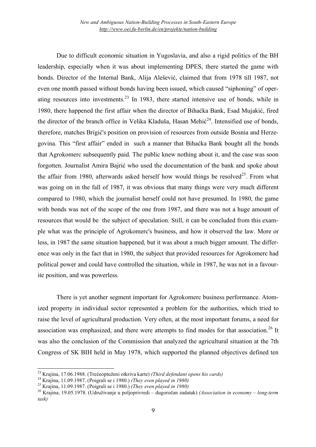Due to difficult economic situation in Yugoslavia, and also a rigid politics of the BH leadership, especially when it was about implementing DPES, there started the game with bonds. Director of the Internal Bank, Alija Alešević, claimed that from 1978 till 1987, not even one month passed without bonds having been issued, which caused "siphoning" of operating resources into investments. $^{23}$  In 1983, there started intensive use of bonds, while in 1980, there happened the first affair when the director of Bihaćka Bank, Esad Mujakić, fired the director of the branch office in Velika Kladuša, Hasan Mehić<sup>24</sup>. Intensified use of bonds, therefore, matches Brigić's position on provision of resources from outside Bosnia and Herzegovina. This "first affair" ended in such a manner that Bihaćka Bank bought all the bonds that Agrokomerc subsequently paid. The public knew nothing about it, and the case was soon forgotten. Journalist Amira Bajrić who used the documentation of the bank and spoke about the affair from 1980, afterwards asked herself how would things be resolved<sup>25</sup>. From what was going on in the fall of 1987, it was obvious that many things were very much different compared to 1980, which the journalist herself could not have presumed. In 1980, the game with bonds was not of the scope of the one from 1987, and there was not a huge amount of resources that would be the subject of speculation. Still, it can be concluded from this example what was the principle of Agrokomerc's business, and how it observed the law. More or less, in 1987 the same situation happened, but it was about a much bigger amount. The difference was only in the fact that in 1980, the subject that provided resources for Agrokomerc had political power and could have controlled the situation, while in 1987, he was not in a favourite position, and was powerless.

There is yet another segment important for Agrokomerc business performance. Atomized property in individual sector represented a problem for the authorities, which tried to raise the level of agricultural production. Very often, at the most important forums, a need for association was emphasized, and there were attempts to find modes for that association.<sup>26</sup> It was also the conclusion of the Commission that analyzed the agricultural situation at the 7th Congress of SK BIH held in May 1978, which supported the planned objectives defined ten

<sup>&</sup>lt;sup>23</sup> Krajina, 17.06.1988. (Trećeoptuženi otkriva karte) *(Third defendant opens his cards)*<br><sup>24</sup> Krajina, 11.09.1987. (Poigrali se i 1980.) *(They even played in 1980)*<br><sup>25</sup> Krajina, 11.09.1987. (Poigrali se i 1980.) *(Th* 

*task)*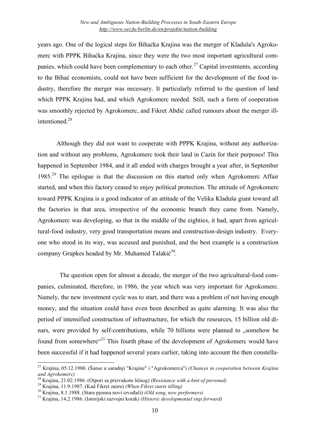years ago. One of the logical steps for Bihaćka Krajina was the merger of Kladuša's Agrokomerc with PPPK Bihaćka Krajina, since they were the two most important agricultural companies, which could have been complementary to each other.<sup>27</sup> Capital investments, according to the Bihać economists, could not have been sufficient for the development of the food industry, therefore the merger was necessary. It particularly referred to the question of land which PPPK Krajina had, and which Agrokomerc needed. Still, such a form of cooperation was smoothly rejected by Agrokomerc, and Fikret Abdić called rumours about the merger illintentioned.<sup>28</sup>

Although they did not want to cooperate with PPPK Krajina, without any authorization and without any problems, Agrokomerc took their land in Cazin for their purposes! This happened in September 1984, and it all ended with charges brought a year after, in September 1985.<sup>29</sup> The epilogue is that the discussion on this started only when Agrokomerc Affair started, and when this factory ceased to enjoy political protection. The attitude of Agrokomerc toward PPPK Krajina is a good indicator of an attitude of the Velika Kladuša giant toward all the factories in that area, irrespective of the economic branch they came from. Namely, Agrokomerc was developing, so that in the middle of the eighties, it had, apart from agricultural-food industry, very good transportation means and construction-design industry. Everyone who stood in its way, was accused and punished, and the best example is a construction company Grupkes headed by Mr. Muhamed Talakić<sup>30</sup>.

The question open for almost a decade, the merger of the two agricultural-food companies, culminated, therefore, in 1986, the year which was very important for Agrokomerc. Namely, the new investment cycle was to start, and there was a problem of not having enough money, and the situation could have even been described as quite alarming. It was also the period of intensified construction of infrastructure, for which the resources, 15 billion old dinars, were provided by self-contributions, while 70 billions were planned to ...somehow be found from somewhere<sup>31</sup> This fourth phase of the development of Agrokomerc would have been successful if it had happened several years earlier, taking into account the then constella-

<sup>27</sup> Krajina, 05.12.1980. (Šanse <sup>u</sup> saradnji "Krajine" <sup>i</sup> "Agrokomerca") *(Chances in cooperation between Krajina*

<sup>&</sup>lt;sup>28</sup> Krajina, 21.02.1986. (Otpori sa prizvukom ličnog) *(Resistance with a hint of personal)*<br><sup>29</sup> Krajina, 11.9.1987. (Kad Fikret zaore) *(When Fikret starts tilling)*<br><sup>30</sup> Krajina, 8.1.1988. (Stara pjesma novi izvođači)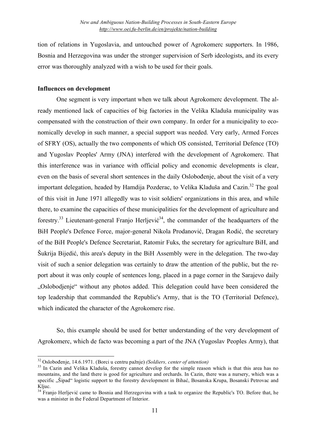tion of relations in Yugoslavia, and untouched power of Agrokomerc supporters. In 1986, Bosnia and Herzegovina was under the stronger supervision of Serb ideologists, and its every error was thoroughly analyzed with a wish to be used for their goals.

#### **Influences on development**

One segment is very important when we talk about Agrokomerc development. The already mentioned lack of capacities of big factories in the Velika Kladuša municipality was compensated with the construction of their own company. In order for a municipality to economically develop in such manner, a special support was needed. Very early, Armed Forces of SFRY (OS), actually the two components of which OS consisted, Territorial Defence (TO) and Yugoslav Peoples' Army (JNA) interfered with the development of Agrokomerc. That this interference was in variance with official policy and economic developments is clear, even on the basis of several short sentences in the daily Oslobođenje, about the visit of a very important delegation, headed by Hamdija Pozderac, to Velika Kladuša and Cazin.<sup>32</sup> The goal of this visit in June 1971 allegedly was to visit soldiers' organizations in this area, and while there, to examine the capacities of these municipalities for the development of agriculture and forestry.<sup>33</sup> Lieutenant-general Franjo Herljević<sup>34</sup>, the commander of the headquarters of the BiH People's Defence Force, major-general Nikola Prodanović, Dragan Rodić, the secretary of the BiH People's Defence Secretariat, Ratomir Fuks, the secretary for agriculture BiH, and Šukrija Bijedić, this area's deputy in the BiH Assembly were in the delegation. The two-day visit of such a senior delegation was certainly to draw the attention of the public, but the report about it was only couple of sentences long, placed in a page corner in the Sarajevo daily "Oslobodjenje" without any photos added. This delegation could have been considered the top leadership that commanded the Republic's Army, that is the TO (Territorial Defence), which indicated the character of the Agrokomerc rise.

So, this example should be used for better understanding of the very development of Agrokomerc, which de facto was becoming a part of the JNA (Yugoslav Peoples Army), that

<sup>&</sup>lt;sup>32</sup> Oslobođenje, 14.6.1971. (Borci u centru pažnje) *(Soldiers, center of attention)*<br><sup>33</sup> In Cazin and Velika Kladuša, forestry cannot develop for the simple reason which is that this area has no mountains, and the land there is good for agriculture and orchards. In Cazin, there was a nursery, which was a specific "Šipad" logistic support to the forestry development in Bihać, Bosanska Krupa, Bosanski Petrovac and Kljuc.<br><sup>34</sup> Franjo Herljević came to Bosnia and Herzegovina with a task to organize the Republic's TO. Before that, he

was a minister in the Federal Department of Interior.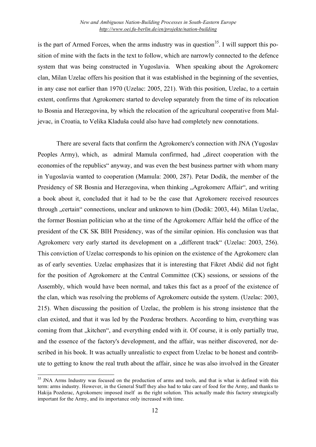is the part of Armed Forces, when the arms industry was in question<sup>35</sup>. I will support this position of mine with the facts in the text to follow, which are narrowly connected to the defence system that was being constructed in Yugoslavia. When speaking about the Agrokomerc clan, Milan Uzelac offers his position that it was established in the beginning of the seventies, in any case not earlier than 1970 (Uzelac: 2005, 221). With this position, Uzelac, to a certain extent, confirms that Agrokomerc started to develop separately from the time of its relocation to Bosnia and Herzegovina, by which the relocation of the agricultural cooperative from Maljevac, in Croatia, to Velika Kladuša could also have had completely new connotations.

There are several facts that confirm the Agrokomerc's connection with JNA (Yugoslav Peoples Army), which, as admiral Mamula confirmed, had "direct cooperation with the economies of the republics" anyway, and was even the best business partner with whom many in Yugoslavia wanted to cooperation (Mamula: 2000, 287). Petar Dodik, the member of the Presidency of SR Bosnia and Herzegovina, when thinking "Agrokomerc Affair", and writing a book about it, concluded that it had to be the case that Agrokomerc received resources through "certain" connections, unclear and unknown to him (Dodik: 2003, 44). Milan Uzelac, the former Bosnian politician who at the time of the Agrokomerc Affair held the office of the president of the CK SK BIH Presidency, was of the similar opinion. His conclusion was that Agrokomerc very early started its development on a ..different track (Uzelac: 2003, 256). This conviction of Uzelac corresponds to his opinion on the existence of the Agrokomerc clan as of early seventies. Uzelac emphasizes that it is interesting that Fikret Abdić did not fight for the position of Agrokomerc at the Central Committee (CK) sessions, or sessions of the Assembly, which would have been normal, and takes this fact as a proof of the existence of the clan, which was resolving the problems of Agrokomerc outside the system. (Uzelac: 2003, 215). When discussing the position of Uzelac, the problem is his strong insistence that the clan existed, and that it was led by the Pozderac brothers. According to him, everything was coming from that "kitchen", and everything ended with it. Of course, it is only partially true, and the essence of the factory's development, and the affair, was neither discovered, nor described in his book. It was actually unrealistic to expect from Uzelac to be honest and contribute to getting to know the real truth about the affair, since he was also involved in the Greater

<sup>&</sup>lt;sup>35</sup> JNA Arms Industry was focused on the production of arms and tools, and that is what is defined with this term: arms industry. However, in the General Staff they also had to take care of food for the Army, and thanks to Hakija Pozderac, Agrokomerc imposed itself as the right solution. This actually made this factory strategically important for the Army, and its importance only increased with time.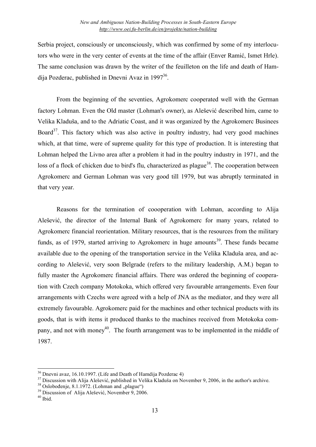Serbia project, consciously or unconsciously, which was confirmed by some of my interlocutors who were in the very center of events at the time of the affair (Enver Ramić, Ismet Hrle). The same conclusion was drawn by the writer of the feuilleton on the life and death of Hamdija Pozderac, published in Dnevni Avaz in 1997<sup>36</sup>.

From the beginning of the seventies, Agrokomerc cooperated well with the German factory Lohman. Even the Old master (Lohman's owner), as Alešević described him, came to Velika Kladuša, and to the Adriatic Coast, and it was organized by the Agrokomerc Businees Board<sup>37</sup>. This factory which was also active in poultry industry, had very good machines which, at that time, were of supreme quality for this type of production. It is interesting that Lohman helped the Livno area after a problem it had in the poultry industry in 1971, and the loss of a flock of chicken due to bird's flu, characterized as plague<sup>38</sup>. The cooperation between Agrokomerc and German Lohman was very good till 1979, but was abruptly terminated in that very year.

Reasons for the termination of coooperation with Lohman, according to Alija Alešević, the director of the Internal Bank of Agrokomerc for many years, related to Agrokomerc financial reorientation. Military resources, that is the resources from the military funds, as of 1979, started arriving to Agrokomerc in huge amounts<sup>39</sup>. These funds became available due to the opening of the transportation service in the Velika Kladuša area, and according to Alešević, very soon Belgrade (refers to the military leadership, A.M.) began to fully master the Agrokomerc financial affairs. There was ordered the beginning of cooperation with Czech company Motokoka, which offered very favourable arrangements. Even four arrangements with Czechs were agreed with a help of JNA as the mediator, and they were all extremely favourable. Agrokomerc paid for the machines and other technical products with its goods, that is with items it produced thanks to the machines received from Motokoka company, and not with money<sup>40</sup>. The fourth arrangement was to be implemented in the middle of 1987.

<sup>&</sup>lt;sup>36</sup> Dnevni avaz, 16.10.1997. (Life and Death of Hamdija Pozderac 4)<br><sup>37</sup> Discussion with Alija Alešević, published in Velika Kladuša on November 9, 2006, in the author's archive.<br><sup>38</sup> Oslobođenje, 8.1.1972. (Lohman and "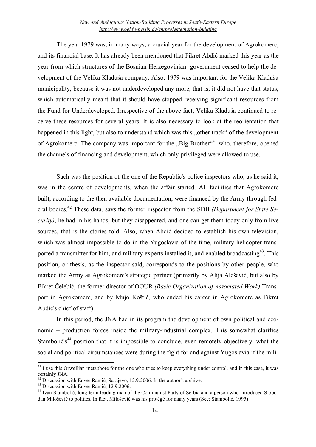The year 1979 was, in many ways, a crucial year for the development of Agrokomerc, and its financial base. It has already been mentioned that Fikret Abdić marked this year as the year from which structures of the Bosnian-Herzegovinian government ceased to help the development of the Velika Kladuša company. Also, 1979 was important for the Velika Kladuša municipality, because it was not underdeveloped any more, that is, it did not have that status, which automatically meant that it should have stopped receiving significant resources from the Fund for Underdeveloped. Irrespective of the above fact, Velika Kladuša continued to receive these resources for several years. It is also necessary to look at the reorientation that happened in this light, but also to understand which was this "other track" of the development of Agrokomerc. The company was important for the "Big Brother"<sup>41</sup> who, therefore, opened the channels of financing and development, which only privileged were allowed to use.

Such was the position of the one of the Republic's police inspectors who, as he said it, was in the centre of developments, when the affair started. All facilities that Agrokomerc built, according to the then available documentation, were financed by the Army through federal bodies. <sup>42</sup> These data, says the former inspector from the SDB *(Department for State Security)*, he had in his hands, but they disappeared, and one can get them today only from live sources, that is the stories told. Also, when Abdić decided to establish his own television, which was almost impossible to do in the Yugoslavia of the time, military helicopter transported a transmitter for him, and military experts installed it, and enabled broadcasting<sup>43</sup>. This position, or thesis, as the inspector said, corresponds to the positions by other people, who marked the Army as Agrokomerc's strategic partner (primarily by Alija Alešević, but also by Fikret Čelebić, the former director of OOUR *(Basic Organization of Associated Work)* Transport in Agrokomerc, and by Mujo Koštić, who ended his career in Agrokomerc as Fikret Abdić's chief of staff).

In this period, the JNA had in its program the development of own political and economic – production forces inside the military-industrial complex. This somewhat clarifies Stambolić's<sup>44</sup> position that it is impossible to conclude, even remotely objectively, what the social and political circumstances were during the fight for and against Yugoslavia if the mili-

 $41$  I use this Orwellian metaphore for the one who tries to keep everything under control, and in this case, it was certainly JNA.

<sup>&</sup>lt;sup>42</sup> Discussion with Enver Ramić, Sarajevo, 12.9.2006. In the author's archive.<br><sup>43</sup> Discussion with Enver Ramić, 12.9.2006.<br><sup>44</sup> Ivan Stambolić, long-term leading man of the Communist Party of Serbia and a person who int dan Milošević to politics. In fact, Milošević was his protégé for many years (See: Stambolić, 1995)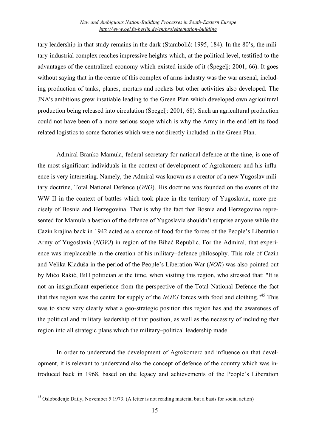tary leadership in that study remains in the dark (Stambolić: 1995, 184). In the 80's, the military-industrial complex reaches impressive heights which, at the political level, testified to the advantages of the centralized economy which existed inside of it (Špegelj: 2001, 66). It goes without saying that in the centre of this complex of arms industry was the war arsenal, including production of tanks, planes, mortars and rockets but other activities also developed. The JNA's ambitions grew insatiable leading to the Green Plan which developed own agricultural production being released into circulation (Špegelj: 2001, 68). Such an agricultural production could not have been of a more serious scope which is why the Army in the end left its food related logistics to some factories which were not directly included in the Green Plan.

Admiral Branko Mamula, federal secretary for national defence at the time, is one of the most significant individuals in the context of development of Agrokomerc and his influence is very interesting. Namely, the Admiral was known as a creator of a new Yugoslav military doctrine, Total National Defence (*ONO*). His doctrine was founded on the events of the WW II in the context of battles which took place in the territory of Yugoslavia, more precisely of Bosnia and Herzegovina. That is why the fact that Bosnia and Herzegovina represented for Mamula a bastion of the defence of Yugoslavia shouldn't surprise anyone while the Cazin krajina back in 1942 acted as a source of food for the forces of the People's Liberation Army of Yugoslavia (*NOVJ*) in region of the Bihać Republic. For the Admiral, that experience was irreplaceable in the creation of his military–defence philosophy. This role of Cazin and Velika Kladuša in the period of the People's Liberation War (*NOR*) was also pointed out by Mićo Rakić, BiH politician at the time, when visiting this region, who stressed that: "It is not an insignificant experience from the perspective of the Total National Defence the fact that this region was the centre for supply of the *NOVJ* forces with food and clothing." <sup>45</sup> This was to show very clearly what a geo-strategic position this region has and the awareness of the political and military leadership of that position, as well as the necessity of including that region into all strategic plans which the military–political leadership made.

In order to understand the development of Agrokomerc and influence on that development, it is relevant to understand also the concept of defence of the country which was introduced back in 1968, based on the legacy and achievements of the People's Liberation

<sup>45</sup> Oslobođenje Daily, November <sup>5</sup> 1973. (A letter is not reading material but <sup>a</sup> basis for social action)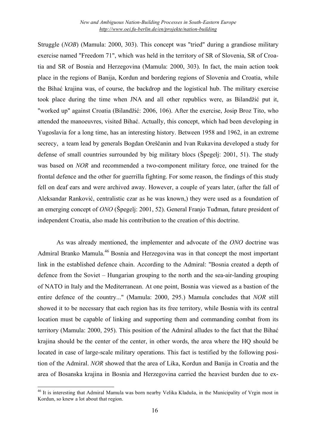Struggle (*NOB*) (Mamula: 2000, 303). This concept was "tried" during a grandiose military exercise named "Freedom 71", which was held in the territory of SR of Slovenia, SR of Croatia and SR of Bosnia and Herzegovina (Mamula: 2000, 303). In fact, the main action took place in the regions of Banija, Kordun and bordering regions of Slovenia and Croatia, while the Bihać krajina was, of course, the backdrop and the logistical hub. The military exercise took place during the time when JNA and all other republics were, as Bilandžić put it, "worked up" against Croatia (Bilandžić: 2006, 106). After the exercise, Josip Broz Tito, who attended the manoeuvres, visited Bihać. Actually, this concept, which had been developing in Yugoslavia for a long time, has an interesting history. Between 1958 and 1962, in an extreme secrecy, a team lead by generals Bogdan Oreščanin and Ivan Rukavina developed a study for defense of small countries surrounded by big military blocs (Špegelj: 2001, 51). The study was based on *NOR* and recommended a two-component military force, one trained for the frontal defence and the other for guerrilla fighting. For some reason, the findings of this study fell on deaf ears and were archived away. However, a couple of years later, (after the fall of Aleksandar Ranković, centralistic czar as he was known,) they were used as a foundation of an emerging concept of *ONO* (Špegelj: 2001, 52). General Franjo Tuđman, future president of independent Croatia, also made his contribution to the creation of this doctrine.

As was already mentioned, the implementer and advocate of the *ONO* doctrine was Admiral Branko Mamula.<sup>46</sup> Bosnia and Herzegovina was in that concept the most important link in the established defence chain. According to the Admiral: "Bosnia created a depth of defence from the Soviet – Hungarian grouping to the north and the sea-air-landing grouping of NATO in Italy and the Mediterranean. At one point, Bosnia was viewed as a bastion of the entire defence of the country..." (Mamula: 2000, 295.) Mamula concludes that *NOR* still showed it to be necessary that each region has its free territory, while Bosnia with its central location must be capable of linking and supporting them and commanding combat from its territory (Mamula: 2000, 295). This position of the Admiral alludes to the fact that the Bihać krajina should be the center of the center, in other words, the area where the HQ should be located in case of large-scale military operations. This fact is testified by the following position of the Admiral. *NOR* showed that the area of Lika, Kordun and Banija in Croatia and the area of Bosanska krajina in Bosnia and Herzegovina carried the heaviest burden due to ex-

<sup>&</sup>lt;sup>46</sup> It is interesting that Admiral Mamula was born nearby Velika Kladuša, in the Municipality of Vrgin most in Kordun, so knew a lot about that region.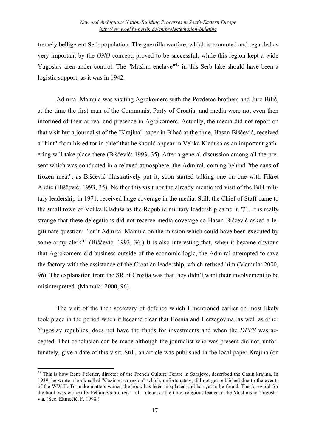tremely belligerent Serb population. The guerrilla warfare, which is promoted and regarded as very important by the *ONO* concept, proved to be successful, while this region kept a wide Yugoslav area under control. The "Muslim enclave"<sup>47</sup> in this Serb lake should have been a logistic support, as it was in 1942.

Admiral Mamula was visiting Agrokomerc with the Pozderac brothers and Juro Bilić, at the time the first man of the Communist Party of Croatia, and media were not even then informed of their arrival and presence in Agrokomerc. Actually, the media did not report on that visit but a journalist of the "Krajina" paper in Bihać at the time, Hasan Bišćević, received a "hint" from his editor in chief that he should appear in Velika Kladuša as an important gathering will take place there (Biščević: 1993, 35). After a general discussion among all the present which was conducted in a relaxed atmosphere, the Admiral, coming behind "the cans of frozen meat", as Bišćević illustratively put it, soon started talking one on one with Fikret Abdić (Biščević: 1993, 35). Neither this visit nor the already mentioned visit of the BiH military leadership in 1971. received huge coverage in the media. Still, the Chief of Staff came to the small town of Velika Kladuša as the Republic military leadership came in '71. It is really strange that these delegations did not receive media coverage so Hasan Bišćević asked a legitimate question: "Isn't Admiral Mamula on the mission which could have been executed by some army clerk?" (Biščević: 1993, 36.) It is also interesting that, when it became obvious that Agrokomerc did business outside of the economic logic, the Admiral attempted to save the factory with the assistance of the Croatian leadership, which refused him (Mamula: 2000, 96). The explanation from the SR of Croatia was that they didn't want their involvement to be misinterpreted. (Mamula: 2000, 96).

The visit of the then secretary of defence which I mentioned earlier on most likely took place in the period when it became clear that Bosnia and Herzegovina, as well as other Yugoslav republics, does not have the funds for investments and when the *DPES* was accepted. That conclusion can be made although the journalist who was present did not, unfortunately, give a date of this visit. Still, an article was published in the local paper Krajina (on

<sup>&</sup>lt;sup>47</sup> This is how Rene Peletier, director of the French Culture Centre in Sarajevo, described the Cazin krajina. In 1939, he wrote a book called "Cazin et sa region" which, unfortunately, did not get published due to the events of the WW II. To make matters worse, the book has been misplaced and has yet to be found. The foreword for the book was written by Fehim Spaho, reis – ul – ulema at the time, religious leader of the Muslims in Yugoslavia. (See: Ekmečić, F. 1998.)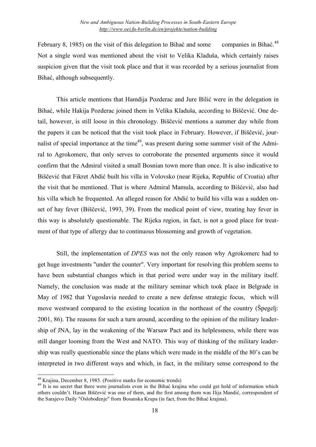February 8, 1985) on the visit of this delegation to Bihać and some companies in Bihać<sup>48</sup> Not a single word was mentioned about the visit to Velika Kladuša, which certainly raises suspicion given that the visit took place and that it was recorded by a serious journalist from Bihać, although subsequently.

This article mentions that Hamdija Pozderac and Jure Bilić were in the delegation in Bihać, while Hakija Pozderac joined them in Velika Kladuša, according to Biščević. One detail, however, is still loose in this chronology. Biščević mentions a summer day while from the papers it can be noticed that the visit took place in February. However, if Biščević, journalist of special importance at the time<sup>49</sup>, was present during some summer visit of the Admiral to Agrokomerc, that only serves to corroborate the presented arguments since it would confirm that the Admiral visited a small Bosnian town more than once. It is also indicative to Biščević that Fikret Abdić built his villa in Volovsko (near Rijeka, Republic of Croatia) after the visit that he mentioned. That is where Admiral Mamula, according to Bišćević, also had his villa which he frequented. An alleged reason for Abdić to build his villa was a sudden onset of hay fever (Biščević, 1993, 39). From the medical point of view, treating hay fever in this way is absolutely questionable. The Rijeka region, in fact, is not a good place for treatment of that type of allergy due to continuous blossoming and growth of vegetation.

Still, the implementation of *DPES* was not the only reason why Agrokomerc had to get huge investments "under the counter". Very important for resolving this problem seems to have been substantial changes which in that period were under way in the military itself. Namely, the conclusion was made at the military seminar which took place in Belgrade in May of 1982 that Yugoslavia needed to create a new defense strategic focus, which will move westward compared to the existing location in the northeast of the country (Špegelj: 2001, 86). The reasons for such a turn around, according to the opinion of the military leadership of JNA, lay in the weakening of the Warsaw Pact and its helplessness, while there was still danger looming from the West and NATO. This way of thinking of the military leadership was really questionable since the plans which were made in the middle of the 80's can be interpreted in two different ways and which, in fact, in the military sense correspond to the

<sup>&</sup>lt;sup>48</sup> Krajina, December 8, 1985. (Positive marks for economic trends)<br><sup>49</sup> It is no secret that there were journalists even in the Bihać krajina who could get hold of information which others couldn't. Hasan Biščević was one of them, and the first among them was Ilija Mandić, correspondent of the Sarajevo Daily "Oslobođenje" from Bosanska Krupa (in fact, from the Bihać krajina).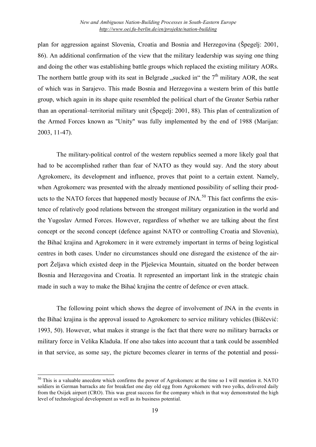plan for aggression against Slovenia, Croatia and Bosnia and Herzegovina (Špegelj: 2001, 86). An additional confirmation of the view that the military leadership was saying one thing and doing the other was establishing battle groups which replaced the existing military AORs. The northern battle group with its seat in Belgrade "sucked in" the  $7<sup>th</sup>$  military AOR, the seat of which was in Sarajevo. This made Bosnia and Herzegovina a western brim of this battle group, which again in its shape quite resembled the political chart of the Greater Serbia rather than an operational–territorial military unit (Špegelj: 2001, 88). This plan of centralization of the Armed Forces known as "Unity" was fully implemented by the end of 1988 (Marijan: 2003, 11-47).

The military-political control of the western republics seemed a more likely goal that had to be accomplished rather than fear of NATO as they would say. And the story about Agrokomerc, its development and influence, proves that point to a certain extent. Namely, when Agrokomerc was presented with the already mentioned possibility of selling their products to the NATO forces that happened mostly because of JNA.<sup>50</sup> This fact confirms the existence of relatively good relations between the strongest military organization in the world and the Yugoslav Armed Forces. However, regardless of whether we are talking about the first concept or the second concept (defence against NATO or controlling Croatia and Slovenia), the Bihać krajina and Agrokomerc in it were extremely important in terms of being logistical centres in both cases. Under no circumstances should one disregard the existence of the airport Željava which existed deep in the Plješevica Mountain, situated on the border between Bosnia and Herzegovina and Croatia. It represented an important link in the strategic chain made in such a way to make the Bihać krajina the centre of defence or even attack.

The following point which shows the degree of involvement of JNA in the events in the Bihać krajina is the approval issued to Agrokomerc to service military vehicles (Biščević: 1993, 50). However, what makes it strange is the fact that there were no military barracks or military force in Velika Kladuša. If one also takes into account that a tank could be assembled in that service, as some say, the picture becomes clearer in terms of the potential and possi-

<sup>&</sup>lt;sup>50</sup> This is a valuable anecdote which confirms the power of Agrokomerc at the time so I will mention it. NATO soldiers in German barracks ate for breakfast one day old egg from Agrokomerc with two yolks, delivered daily from the Osijek airport (CRO). This was great success for the company which in that way demonstrated the high level of technological development as well as its business potential.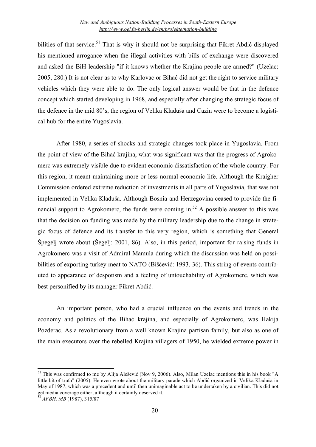bilities of that service.<sup>51</sup> That is why it should not be surprising that Fikret Abdić displayed his mentioned arrogance when the illegal activities with bills of exchange were discovered and asked the BiH leadership "if it knows whether the Krajina people are armed?" (Uzelac: 2005, 280.) It is not clear as to why Karlovac or Bihać did not get the right to service military vehicles which they were able to do. The only logical answer would be that in the defence concept which started developing in 1968, and especially after changing the strategic focus of the defence in the mid 80's, the region of Velika Kladuša and Cazin were to become a logistical hub for the entire Yugoslavia.

After 1980, a series of shocks and strategic changes took place in Yugoslavia. From the point of view of the Bihać krajina, what was significant was that the progress of Agrokomerc was extremely visible due to evident economic dissatisfaction of the whole country. For this region, it meant maintaining more or less normal economic life. Although the Kraigher Commission ordered extreme reduction of investments in all parts of Yugoslavia, that was not implemented in Velika Kladuša. Although Bosnia and Herzegovina ceased to provide the financial support to Agrokomerc, the funds were coming in.<sup>52</sup> A possible answer to this was that the decision on funding was made by the military leadership due to the change in strategic focus of defence and its transfer to this very region, which is something that General Špegelj wrote about (Šegelj: 2001, 86). Also, in this period, important for raising funds in Agrokomerc was a visit of Admiral Mamula during which the discussion was held on possibilities of exporting turkey meat to NATO (Biščević: 1993, 36). This string of events contributed to appearance of despotism and a feeling of untouchability of Agrokomerc, which was best personified by its manager Fikret Abdić.

An important person, who had a crucial influence on the events and trends in the economy and politics of the Bihać krajina, and especially of Agrokomerc, was Hakija Pozderac. As a revolutionary from a well known Krajina partisan family, but also as one of the main executors over the rebelled Krajina villagers of 1950, he wielded extreme power in

<sup>&</sup>lt;sup>51</sup> This was confirmed to me by Alija Alešević (Nov 9, 2006). Also, Milan Uzelac mentions this in his book "A little bit of truth" (2005). He even wrote about the military parade which Abdić organized in Velika Kladuša in May of 1987, which was a precedent and until then unimaginable act to be undertaken by a civilian. This did not get media coverage either, although it certainly deserved it.<br><sup>52</sup> *AFBH, MB* (1987), 315/87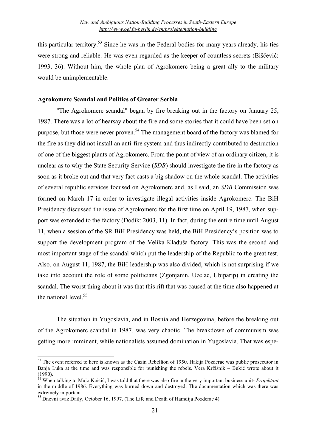this particular territory.<sup>53</sup> Since he was in the Federal bodies for many years already, his ties were strong and reliable. He was even regarded as the keeper of countless secrets (Biščević: 1993, 36). Without him, the whole plan of Agrokomerc being a great ally to the military would be unimplementable.

## **Agrokomerc Scandal and Politics of Greater Serbia**

"The Agrokomerc scandal" began by fire breaking out in the factory on January 25, 1987. There was a lot of hearsay about the fire and some stories that it could have been set on purpose, but those were never proven.<sup>54</sup> The management board of the factory was blamed for the fire as they did not install an anti-fire system and thus indirectly contributed to destruction of one of the biggest plants of Agrokomerc. From the point of view of an ordinary citizen, it is unclear as to why the State Security Service (*SDB*) should investigate the fire in the factory as soon as it broke out and that very fact casts a big shadow on the whole scandal. The activities of several republic services focused on Agrokomerc and, as I said, an *SDB* Commission was formed on March 17 in order to investigate illegal activities inside Agrokomerc. The BiH Presidency discussed the issue of Agrokomerc for the first time on April 19, 1987, when support was extended to the factory (Dodik: 2003, 11). In fact, during the entire time until August 11, when a session of the SR BiH Presidency was held, the BiH Presidency's position was to support the development program of the Velika Kladuša factory. This was the second and most important stage of the scandal which put the leadership of the Republic to the great test. Also, on August 11, 1987, the BiH leadership was also divided, which is not surprising if we take into account the role of some politicians (Zgonjanin, Uzelac, Ubiparip) in creating the scandal. The worst thing about it was that this rift that was caused at the time also happened at the national level. 55

The situation in Yugoslavia, and in Bosnia and Herzegovina, before the breaking out of the Agrokomerc scandal in 1987, was very chaotic. The breakdown of communism was getting more imminent, while nationalists assumed domination in Yugoslavia. That was espe-

<sup>&</sup>lt;sup>53</sup> The event referred to here is known as the Cazin Rebellion of 1950. Hakija Pozderac was public prosecutor in Banja Luka at the time and was responsible for punishing the rebels. Vera Kržišnik – Bukić wrote about it

 $\delta$ <sup>4</sup> When talking to Mujo Koštić, I was told that there was also fire in the very important business unit- *Projektant* in the middle of 1986. Everything was burned down and destroyed. The documentation which was there was

 $^{55}$  Dnevni avaz Daily, October 16, 1997. (The Life and Death of Hamdija Pozderac 4)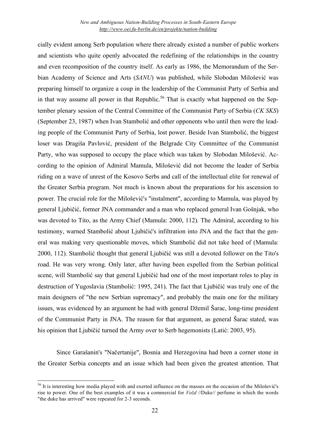cially evident among Serb population where there already existed a number of public workers and scientists who quite openly advocated the redefining of the relationships in the country and even recomposition of the country itself. As early as 1986, the Memorandum of the Serbian Academy of Science and Arts (*SANU*) was published, while Slobodan Milošević was preparing himself to organize a coup in the leadership of the Communist Party of Serbia and in that way assume all power in that Republic.<sup>56</sup> That is exactly what happened on the September plenary session of the Central Committee of the Communist Party of Serbia (*CK SKS*) (September 23, 1987) when Ivan Stambolić and other opponents who until then were the leading people of the Communist Party of Serbia, lost power. Beside Ivan Stambolić, the biggest loser was Dragiša Pavlović, president of the Belgrade City Committee of the Communist Party, who was supposed to occupy the place which was taken by Slobodan Milošević. According to the opinion of Admiral Mamula, Milošević did not become the leader of Serbia riding on a wave of unrest of the Kosovo Serbs and call of the intellectual elite for renewal of the Greater Serbia program. Not much is known about the preparations for his ascension to power. The crucial role for the Milošević's "instalment", according to Mamula, was played by general Ljubičić, former JNA commander and a man who replaced general Ivan Gošnjak, who was devoted to Tito, as the Army Chief (Mamula: 2000, 112). The Admiral, according to his testimony, warned Stambolić about Ljubičić's infiltration into JNA and the fact that the general was making very questionable moves, which Stambolić did not take heed of (Mamula: 2000, 112). Stambolić thought that general Ljubičić was still a devoted follower on the Tito's road. He was very wrong. Only later, after having been expelled from the Serbian political scene, will Stambolić say that general Ljubičić had one of the most important roles to play in destruction of Yugoslavia (Stambolić: 1995, 241). The fact that Ljubičić was truly one of the main designers of "the new Serbian supremacy", and probably the main one for the military issues, was evidenced by an argument he had with general Džemil Šarac, long-time president of the Communist Party in JNA. The reason for that argument, as general Šarac stated, was his opinion that Ljubičić turned the Army over to Serb hegemonists (Latić: 2003, 95).

Since Garašanin's "Načertanije", Bosnia and Herzegovina had been a corner stone in the Greater Serbia concepts and an issue which had been given the greatest attention. That

<sup>&</sup>lt;sup>56</sup> It is interesting how media played with and exerted influence on the masses on the occasion of the Milošević's rise to power. One of the best examples of it was a commercial for *Vožd* //Duke// perfume in which the words "the duke has arrived" were repeated for 2-3 seconds.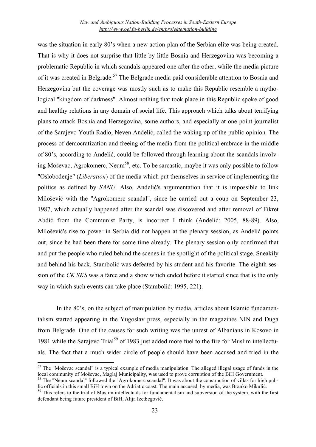was the situation in early 80's when a new action plan of the Serbian elite was being created. That is why it does not surprise that little by little Bosnia and Herzegovina was becoming a problematic Republic in which scandals appeared one after the other, while the media picture of it was created in Belgrade.<sup>57</sup> The Belgrade media paid considerable attention to Bosnia and Herzegovina but the coverage was mostly such as to make this Republic resemble a mythological "kingdom of darkness". Almost nothing that took place in this Republic spoke of good and healthy relations in any domain of social life. This approach which talks about terrifying plans to attack Bosnia and Herzegovina, some authors, and especially at one point journalist of the Sarajevo Youth Radio, Neven Anđelić, called the waking up of the public opinion. The process of democratization and freeing of the media from the political embrace in the middle of 80's, according to Anđelić, could be followed through learning about the scandals involving Moševac, Agrokomerc, Neum<sup>58</sup>, etc. To be sarcastic, maybe it was only possible to follow "Oslobođenje" (*Liberation*) of the media which put themselves in service of implementing the politics as defined by *SANU*. Also, Anđelić's argumentation that it is impossible to link Milošević with the "Agrokomerc scandal", since he carried out a coup on September 23, 1987, which actually happened after the scandal was discovered and after removal of Fikret Abdić from the Communist Party, is incorrect I think (Anđelić: 2005, 88-89). Also, Milošević's rise to power in Serbia did not happen at the plenary session, as Anđelić points out, since he had been there for some time already. The plenary session only confirmed that and put the people who ruled behind the scenes in the spotlight of the political stage. Sneakily and behind his back, Stambolić was defeated by his student and his favorite. The eighth session of the *CK SKS* was a farce and a show which ended before it started since that is the only way in which such events can take place (Stambolić: 1995, 221).

In the 80's, on the subject of manipulation by media, articles about Islamic fundamentalism started appearing in the Yugoslav press, especially in the magazines NIN and Duga from Belgrade. One of the causes for such writing was the unrest of Albanians in Kosovo in 1981 while the Sarajevo Trial<sup>59</sup> of 1983 just added more fuel to the fire for Muslim intellectuals. The fact that a much wider circle of people should have been accused and tried in the

 $57$  The "Moševac scandal" is a typical example of media manipulation. The alleged illegal usage of funds in the local community of Moševac, Maglaj Municipality, was used to prove corruption of the BiH Government.

<sup>&</sup>lt;sup>58</sup> The "Neum scandal" followed the "Agrokomerc scandal". It was about the construction of villas for high pub-<br>lic officials in this small BiH town on the Adriatic coast. The main accused, by media, was Branko Mikulić.

 $159$  This refers to the trial of Muslim intellectuals for fundamentalism and subversion of the system, with the first defendant being future president of BiH, Alija Izetbegović.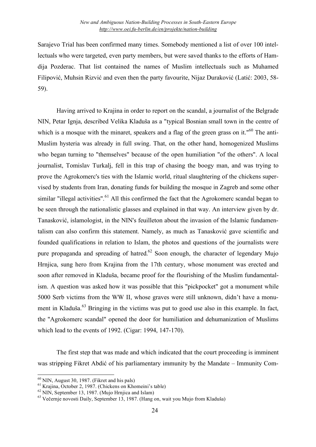Sarajevo Trial has been confirmed many times. Somebody mentioned a list of over 100 intellectuals who were targeted, even party members, but were saved thanks to the efforts of Hamdija Pozderac. That list contained the names of Muslim intellectuals such as Muhamed Filipović, Muhsin Rizvić and even then the party favourite, Nijaz Duraković (Latić: 2003, 58- 59).

Having arrived to Krajina in order to report on the scandal, a journalist of the Belgrade NIN, Petar Ignja, described Velika Kladuša as a "typical Bosnian small town in the centre of which is a mosque with the minaret, speakers and a flag of the green grass on it."<sup>60</sup> The anti-Muslim hysteria was already in full swing. That, on the other hand, homogenized Muslims who began turning to "themselves" because of the open humiliation "of the others". A local journalist, Tomislav Turkalj, fell in this trap of chasing the boogy man, and was trying to prove the Agrokomerc's ties with the Islamic world, ritual slaughtering of the chickens supervised by students from Iran, donating funds for building the mosque in Zagreb and some other similar "illegal activities".<sup>61</sup> All this confirmed the fact that the Agrokomerc scandal began to be seen through the nationalistic glasses and explained in that way. An interview given by dr. Tanasković, islamologist, in the NIN's feuilleton about the invasion of the Islamic fundamentalism can also confirm this statement. Namely, as much as Tanasković gave scientific and founded qualifications in relation to Islam, the photos and questions of the journalists were pure propaganda and spreading of hatred.<sup>62</sup> Soon enough, the character of legendary Mujo Hrnjica, sung hero from Krajina from the 17th century, whose monument was erected and soon after removed in Kladuša, became proof for the flourishing of the Muslim fundamentalism. A question was asked how it was possible that this "pickpocket" got a monument while 5000 Serb victims from the WW II, whose graves were still unknown, didn't have a monument in Kladuša.<sup>63</sup> Bringing in the victims was put to good use also in this example. In fact, the "Agrokomerc scandal" opened the door for humiliation and dehumanization of Muslims which lead to the events of 1992. (Cigar: 1994, 147-170).

The first step that was made and which indicated that the court proceeding is imminent was stripping Fikret Abdić of his parliamentary immunity by the Mandate – Immunity Com-

<sup>&</sup>lt;sup>60</sup> NIN, August 30, 1987. (Fikret and his pals)<br><sup>61</sup> Krajina, October 2, 1987. (Chickens on Khomeini's table)<br><sup>62</sup> NIN, September 13, 1987. (Mujo Hrnjica and Islam)<br><sup>63</sup> Večernie novosti Daily, September 13, 1987. (Hang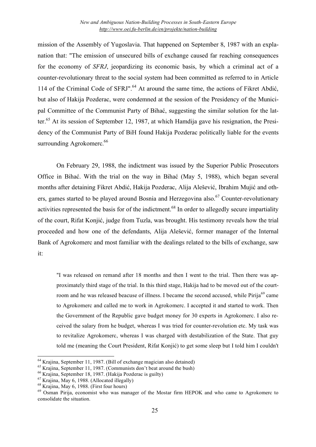mission of the Assembly of Yugoslavia. That happened on September 8, 1987 with an explanation that: "The emission of unsecured bills of exchange caused far reaching consequences for the economy of *SFRJ*, jeopardizing its economic basis, by which a criminal act of a counter-revolutionary threat to the social system had been committed as referred to in Article 114 of the Criminal Code of SFRJ".<sup>64</sup> At around the same time, the actions of Fikret Abdić, but also of Hakija Pozderac, were condemned at the session of the Presidency of the Municipal Committee of the Communist Party of Bihać, suggesting the similar solution for the latter. <sup>65</sup> At its session of September 12, 1987, at which Hamdija gave his resignation, the Presidency of the Communist Party of BiH found Hakija Pozderac politically liable for the events surrounding Agrokomerc.<sup>66</sup>

On February 29, 1988, the indictment was issued by the Superior Public Prosecutors Office in Bihać. With the trial on the way in Bihać (May 5, 1988), which began several months after detaining Fikret Abdić, Hakija Pozderac, Alija Alešević, Ibrahim Mujić and others, games started to be played around Bosnia and Herzegovina also.<sup>67</sup> Counter-revolutionary activities represented the basis for of the indictment.<sup>68</sup> In order to allegedly secure impartiality of the court, Rifat Konjić, judge from Tuzla, was brought. His testimony reveals how the trial proceeded and how one of the defendants, Alija Alešević, former manager of the Internal Bank of Agrokomerc and most familiar with the dealings related to the bills of exchange, saw it:

"I was released on remand after 18 months and then I went to the trial. Then there was approximately third stage of the trial. In this third stage, Hakija had to be moved out of the courtroom and he was released beacuse of illness. I became the second accused, while Pirija<sup>69</sup> came to Agrokomerc and called me to work in Agrokomerc. I accepted it and started to work. Then the Government of the Republic gave budget money for 30 experts in Agrokomerc. I also received the salary from he budget, whereas I was tried for counter-revolution etc. My task was to revitalize Agrokomerc, whereas I was charged with destabilization of the State. That guy told me (meaning the Court President, Rifat Konjić) to get some sleep but I told him I couldn't

<sup>&</sup>lt;sup>64</sup> Krajina, September 11, 1987. (Bill of exchange magician also detained)<br><sup>65</sup> Krajina, September 11, 1987. (Communists don't beat around the bush)<br><sup>66</sup> Krajina, September 18, 1987. (Hakija Pozderac is guilty)<br><sup>67</sup> Kraj consolidate the situation.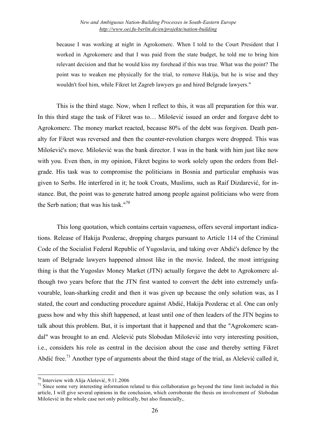because I was working at night in Agrokomerc. When I told to the Court President that I worked in Agrokomerc and that I was paid from the state budget, he told me to bring him relevant decision and that he would kiss my forehead if this was true. What was the point? The point was to weaken me physically for the trial, to remove Hakija, but he is wise and they wouldn't fool him, while Fikret let Zagreb lawyers go and hired Belgrade lawyers."

This is the third stage. Now, when I reflect to this, it was all preparation for this war. In this third stage the task of Fikret was to… Milošević issued an order and forgave debt to Agrokomerc. The money market reacted, because 80% of the debt was forgiven. Death penalty for Fikret was reversed and then the counter-revolution charges were dropped. This was Milošević's move. Milošević was the bank director. I was in the bank with him just like now with you. Even then, in my opinion, Fikret begins to work solely upon the orders from Belgrade. His task was to compromise the politicians in Bosnia and particular emphasis was given to Serbs. He interfered in it; he took Croats, Muslims, such as Raif Dizdarević, for instance. But, the point was to generate hatred among people against politicians who were from the Serb nation; that was his task."<sup>70</sup>

This long quotation, which contains certain vagueness, offers several important indications. Release of Hakija Pozderac, dropping charges pursuant to Article 114 of the Criminal Code of the Socialist Federal Republic of Yugoslavia, and taking over Abdić's defence by the team of Belgrade lawyers happened almost like in the movie. Indeed, the most intriguing thing is that the Yugoslav Money Market (JTN) actually forgave the debt to Agrokomerc although two years before that the JTN first wanted to convert the debt into extremely unfavourable, loan-sharking credit and then it was given up because the only solution was, as I stated, the court and conducting procedure against Abdić, Hakija Pozderac et al. One can only guess how and why this shift happened, at least until one of then leaders of the JTN begins to talk about this problem. But, it is important that it happened and that the "Agrokomerc scandal" was brought to an end. Alešević puts Slobodan Milošević into very interesting position, i.e., considers his role as central in the decision about the case and thereby setting Fikret Abdić free.<sup>71</sup> Another type of arguments about the third stage of the trial, as Alešević called it,

<sup>&</sup>lt;sup>70</sup> Interview with Alija Alešević, 9.11.2006<br><sup>71</sup> Since some very interesting information related to this collaboration go beyond the time limit included in this article, I will give several opinions in the conclusion, which corroborate the thesis on involvement of Slobodan Milošević in the whole case not only politically, but also financially,.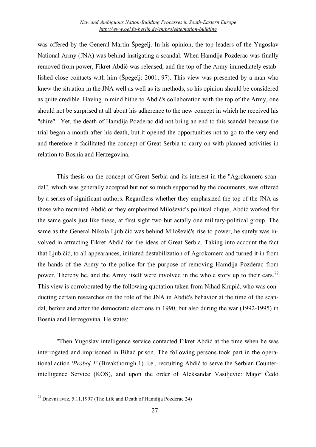was offered by the General Martin Špegelj. In his opinion, the top leaders of the Yugoslav National Army (JNA) was behind instigating a scandal. When Hamdija Pozderac was finally removed from power, Fikret Abdić was released, and the top of the Army immediately established close contacts with him (Špegelj: 2001, 97). This view was presented by a man who knew the situation in the JNA well as well as its methods, so his opinion should be considered as quite credible. Having in mind hitherto Abdić's collaboration with the top of the Army, one should not be surprised at all about his adherence to the new concept in which he received his "shire". Yet, the death of Hamdija Pozderac did not bring an end to this scandal because the trial began a month after his death, but it opened the opportunities not to go to the very end and therefore it facilitated the concept of Great Serbia to carry on with planned activities in relation to Bosnia and Herzegovina.

This thesis on the concept of Great Serbia and its interest in the "Agrokomerc scandal", which was generally accepted but not so much supported by the documents, was offered by a series of significant authors. Regardless whether they emphasized the top of the JNA as those who recruited Abdić or they emphasized Milošević's political clique, Abdić worked for the same goals just like these, at first sight two but actally one military-political group. The same as the General Nikola Ljubičić was behind Milošević's rise to power, he surely was involved in attracting Fikret Abdić for the ideas of Great Serbia. Taking into account the fact that Ljubičić, to all appearances, initiated destabilization of Agrokomerc and turned it in from the hands of the Army to the police for the purpose of removing Hamdija Pozderac from power. Thereby he, and the Army itself were involved in the whole story up to their ears.<sup>72</sup> This view is corroborated by the following quotation taken from Nihad Krupić, who was conducting certain researches on the role of the JNA in Abdić's behavior at the time of the scandal, before and after the democratic elections in 1990, but also during the war (1992-1995) in Bosnia and Herzegovina. He states:

"Then Yugoslav intelligence service contacted Fikret Abdić at the time when he was interrogated and imprisoned in Bihać prison. The following persons took part in the operational action *'Proboj 1'* (Breakthorugh 1)*,* i.e., recruiting Abdić to serve the Serbian Counterintelligence Service (KOS), and upon the order of Aleksandar Vasiljević: Major Čedo

<sup>72</sup> Dnevni avaz, 5.11.1997 (The Life and Death of Hamdija Pozderac 24)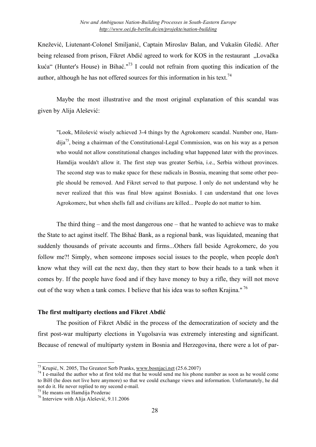Knežević, Liutenant-Colonel Smiljanić, Captain Miroslav Balan, and Vukašin Gledić. After being released from prison, Fikret Abdić agreed to work for KOS in the restaurant "Lovačka kuća" (Hunter's House) in Bihać."<sup>73</sup> I could not refrain from quoting this indication of the author, although he has not offered sources for this information in his text.<sup>74</sup>

Maybe the most illustrative and the most original explanation of this scandal was given by Alija Alešević:

"Look, Milošević wisely achieved 3-4 things by the Agrokomerc scandal. Number one, Hamdija 75 , being a chairman of the Constitutional-Legal Commission, was on his way as a person who would not allow constitutional changes including what happened later with the provinces. Hamdija wouldn't allow it. The first step was greater Serbia, i.e., Serbia without provinces. The second step was to make space for these radicals in Bosnia, meaning that some other people should be removed. And Fikret served to that purpose. I only do not understand why he never realized that this was final blow against Bosniaks. I can understand that one loves Agrokomerc, but when shells fall and civilians are killed... People do not matter to him.

The third thing – and the most dangerous one – that he wanted to achieve was to make the State to act aginst itself. The Bihać Bank, as a regional bank, was liquidated, meaning that suddenly thousands of private accounts and firms...Others fall beside Agrokomerc, do you follow me?! Simply, when someone imposes social issues to the people, when people don't know what they will eat the next day, then they start to bow their heads to a tank when it comes by. If the people have food and if they have money to buy a rifle, they will not move out of the way when a tank comes. I believe that his idea was to soften Krajina." <sup>76</sup>

## **The first multiparty elections and Fikret Abdić**

The position of Fikret Abdić in the process of the democratization of society and the first post-war multiparty elections in Yugolsavia was extremely interesting and significant. Because of renewal of multiparty system in Bosnia and Herzegovina, there were a lot of par-

<sup>&</sup>lt;sup>73</sup> Krupić, N. 2005, The Greatest Serb Pranks, www.bosnjaci.net (25.6.2007)<br><sup>74</sup> I e-mailed the author who at first told me that he would send me his phone number as soon as he would come to BiH (he does not live here anymore) so that we could exchange views and information. Unfortunately, he did

<sup>&</sup>lt;sup>75</sup> He means on Hamdija Pozderac  $^{76}$  Interview with Alija Alešević, 9.11.2006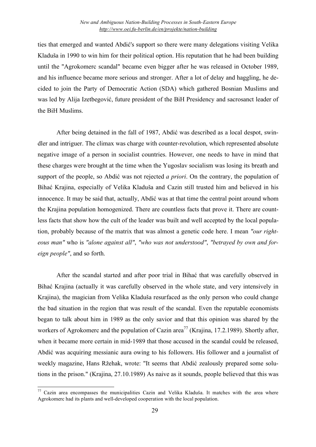ties that emerged and wanted Abdić's support so there were many delegations visiting Velika Kladuša in 1990 to win him for their political option. His reputation that he had been building until the "Agrokomerc scandal" became even bigger after he was released in October 1989, and his influence became more serious and stronger. After a lot of delay and haggling, he decided to join the Party of Democratic Action (SDA) which gathered Bosnian Muslims and was led by Alija Izetbegović, future president of the BiH Presidency and sacrosanct leader of the BiH Muslims.

After being detained in the fall of 1987, Abdić was described as a local despot, swindler and intriguer. The climax was charge with counter-revolution, which represented absolute negative image of a person in socialist countries. However, one needs to have in mind that these charges were brought at the time when the Yugoslav socialism was losing its breath and support of the people, so Abdić was not rejected *a priori*. On the contrary, the population of Bihać Krajina, especially of Velika Kladuša and Cazin still trusted him and believed in his innocence. It may be said that, actually, Abdić was at that time the central point around whom the Krajina population homogenized. There are countless facts that prove it. There are countless facts that show how the cult of the leader was built and well accepted by the local population, probably because of the matrix that was almost a genetic code here. I mean *"our righteous man"* who is *"alone against all"*, *"who was not understood"*, *"betrayed by own and foreign people"*, and so forth.

After the scandal started and after poor trial in Bihać that was carefully observed in Bihać Krajina (actually it was carefully observed in the whole state, and very intensively in Krajina), the magician from Velika Kladuša resurfaced as the only person who could change the bad situation in the region that was result of the scandal. Even the reputable economists began to talk about him in 1989 as the only savior and that this opinion was shared by the workers of Agrokomerc and the population of Cazin area<sup>77</sup> (Krajina, 17.2.1989). Shortly after, when it became more certain in mid-1989 that those accused in the scandal could be released, Abdić was acquiring messianic aura owing to his followers. His follower and a journalist of weekly magazine, Hans Ržehak, wrote: "It seems that Abdić zealously prepared some solutions in the prison." (Krajina, 27.10.1989) As naive as it sounds, people believed that this was

 $77$  Cazin area encompasses the municipalities Cazin and Velika Kladuša. It matches with the area where Agrokomerc had its plants and well-developed cooperation with the local population.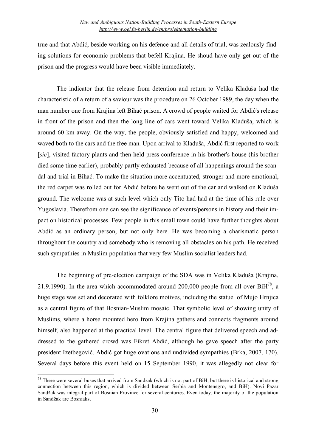true and that Abdić, beside working on his defence and all details of trial, was zealously finding solutions for economic problems that befell Krajina. He shoud have only get out of the prison and the progress would have been visible immediately.

The indicator that the release from detention and return to Velika Kladuša had the characteristic of a return of a saviour was the procedure on 26 October 1989, the day when the man number one from Krajina left Bihać prison. A crowd of people waited for Abdić's release in front of the prison and then the long line of cars went toward Velika Kladuša, which is around 60 km away. On the way, the people, obviously satisfied and happy, welcomed and waved both to the cars and the free man. Upon arrival to Kladuša, Abdić first reported to work [*sic*], visited factory plants and then held press conference in his brother's house (his brother died some time earlier), probably partly exhausted because of all happenings around the scandal and trial in Bihać. To make the situation more accentuated, stronger and more emotional, the red carpet was rolled out for Abdić before he went out of the car and walked on Kladuša ground. The welcome was at such level which only Tito had had at the time of his rule over Yugoslavia. Therefrom one can see the significance of events/persons in history and their impact on historical processes. Few people in this small town could have further thoughts about Abdić as an ordinary person, but not only here. He was becoming a charismatic person throughout the country and somebody who is removing all obstacles on his path. He received such sympathies in Muslim population that very few Muslim socialist leaders had.

The beginning of pre-election campaign of the SDA was in Velika Kladuša (Krajina, 21.9.1990). In the area which accommodated around 200,000 people from all over  $BiH^{78}$ , a huge stage was set and decorated with folklore motives, including the statue of Mujo Hrnjica as a central figure of that Bosnian-Muslim mosaic. That symbolic level of showing unity of Muslims, where a horse mounted hero from Krajina gathers and connects fragments around himself, also happened at the practical level. The central figure that delivered speech and addressed to the gathered crowd was Fikret Abdić, although he gave speech after the party president Izetbegović. Abdić got huge ovations and undivided sympathies (Brka, 2007, 170). Several days before this event held on 15 September 1990, it was allegedly not clear for

 $^{78}$  There were several buses that arrived from Sandžak (which is not part of BiH, but there is historical and strong connection between this region, which is divided between Serbia and Montenegro, and BiH). Novi Pazar Sandžak was integral part of Bosnian Province for several centuries. Even today, the majority of the population in Sandžak are Bosniaks.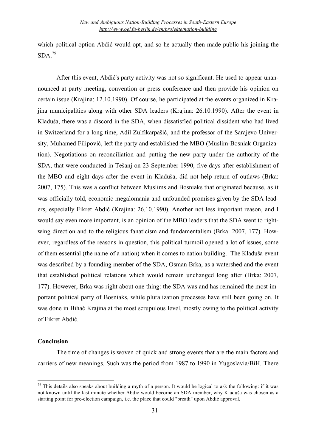which political option Abdić would opt, and so he actually then made public his joining the  $SDA.<sup>79</sup>$ 

After this event, Abdić's party activity was not so significant. He used to appear unannounced at party meeting, convention or press conference and then provide his opinion on certain issue (Krajina: 12.10.1990). Of course, he participated at the events organized in Krajina municipalities along with other SDA leaders (Krajina: 26.10.1990). After the event in Kladuša, there was a discord in the SDA, when dissatisfied political dissident who had lived in Switzerland for a long time, Adil Zulfikarpašić, and the professor of the Sarajevo University, Muhamed Filipović, left the party and established the MBO (Muslim-Bosniak Organization). Negotiations on reconciliation and putting the new party under the authority of the SDA, that were conducted in Tešanj on 23 September 1990, five days after establishment of the MBO and eight days after the event in Kladuša, did not help return of outlaws (Brka: 2007, 175). This was a conflict between Muslims and Bosniaks that originated because, as it was officially told, economic megalomania and unfounded promises given by the SDA leaders, especially Fikret Abdić (Krajina: 26.10.1990). Another not less important reason, and I would say even more important, is an opinion of the MBO leaders that the SDA went to rightwing direction and to the religious fanaticism and fundamentalism (Brka: 2007, 177). However, regardless of the reasons in question, this political turmoil opened a lot of issues, some of them essential (the name of a nation) when it comes to nation building. The Kladuša event was described by a founding member of the SDA, Osman Brka, as a watershed and the event that established political relations which would remain unchanged long after (Brka: 2007, 177). However, Brka was right about one thing: the SDA was and has remained the most important political party of Bosniaks, while pluralization processes have still been going on. It was done in Bihać Krajina at the most scrupulous level, mostly owing to the political activity of Fikret Abdić.

#### **Conclusion**

The time of changes is woven of quick and strong events that are the main factors and carriers of new meanings. Such was the period from 1987 to 1990 in Yugoslavia/BiH. There

 $79$  This details also speaks about building a myth of a person. It would be logical to ask the following: if it was not known until the last minute whether Abdić would become an SDA member, why Kladuša was chosen as a starting point for pre-election campaign, i.e. the place that could "breath" upon Abdić approval.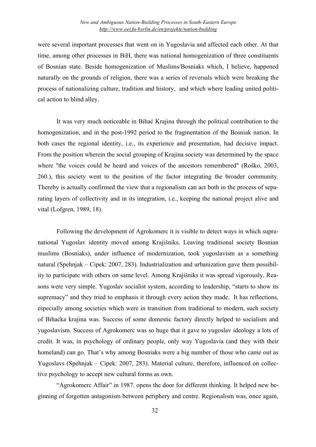were several important processes that went on in Yugoslavia and affected each other. At that time, among other processes in BiH, there was national homogenization of three constituents of Bosnian state. Beside homogenization of Muslims/Bosniaks which, I believe, happened naturally on the grounds of religion, there was a series of reversals which were breaking the process of nationalizing culture, tradition and history, and which where leading united political action to blind alley.

It was very much noticeable in Bihać Krajina through the political contribution to the homogenization, and in the post-1992 period to the fragmentation of the Bosniak nation. In both cases the regional identity, i.e., its experience and presentation, had decisive impact. From the position wherein the social grouping of Krajina society was determined by the space where "the voices could be heard and voices of the ancestors remembered" (Roško, 2003, 260.), this society went to the position of the factor integrating the broader community. Thereby is actually confirmed the view that a regionalism can act both in the process of separating layers of collectivity and in its integration, i.e., keeping the national project alive and vital (Lofgren, 1989, 18).

Following the development of Agrokomerc it is visible to detect ways in which supranational Yugoslav identity moved among Krajišniks. Leaving traditional society Bosnian muslims (Bosniaks), under influence of modernization, took yugoslavism as a something natural (Spehnjak – Cipek: 2007, 283). Industrialization and urbanization gave them possibility to participate with others on same level. Among Krajišniks it was spread vigorously. Reasons were very simple. Yugoslav socialist system, according to leadership, "starts to show its supremacy" and they tried to emphasis it through every action they made. It has reflections, especially among societies which were in transition from traditional to modern, such society of Bihaćka krajina was. Success of some domestic factory directly helped to socialism and yugoslavism. Success of Agrokomerc was so huge that it gave to yugoslav ideology a lots of credit. It was, in psychology of ordinary people, only way Yugoslavia (and they with their homeland) can go. That's why among Bosniaks were a big number of those who came out as Yugoslavs (Spehnjak – Cipek: 2007, 283). Material culture, therefore, influenced on collective psychology to accept new cultural forms as own.

"Agrokomerc Affair" in 1987. opens the door for different thinking. It helped new beginning of forgotten antagonism between periphery and centre. Regionalism was, once again,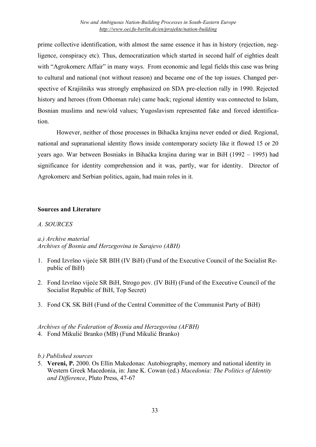prime collective identification, with almost the same essence it has in history (rejection, negligence, conspiracy etc). Thus, democratization which started in second half of eighties dealt with "Agrokomerc Affair" in many ways. From economic and legal fields this case was bring to cultural and national (not without reason) and became one of the top issues. Changed perspective of Krajišniks was strongly emphasized on SDA pre-election rally in 1990. Rejected history and heroes (from Othoman rule) came back; regional identity was connected to Islam, Bosnian muslims and new/old values; Yugoslavism represented fake and forced identification.

However, neither of those processes in Bihaćka krajina never ended or died. Regional, national and supranational identity flows inside contemporary society like it flowed 15 or 20 years ago. War between Bosniaks in Bihaćka krajina during war in BiH (1992 – 1995) had significance for identity comprehension and it was, partly, war for identity. Director of Agrokomerc and Serbian politics, again, had main roles in it.

## **Sources and Literature**

## *A. SOURCES*

## *a.) Archive material Archives of Bosnia and Herzegovina in Sarajevo (ABH)*

- 1. Fond Izvršno vijeće SR BIH (IV BiH) (Fund of the Executive Council of the Socialist Republic of BiH)
- 2. Fond Izvršno vijeće SR BiH, Strogo pov. (IV BiH) (Fund of the Executive Council of the Socialist Republic of BiH, Top Secret)
- 3. Fond CK SK BiH (Fund of the Central Committee of the Communist Party of BiH)

#### *Archives of the Federation of Bosnia and Herzegovina (AFBH)* 4. Fond Mikulić Branko (MB) (Fund Mikulić Branko)

## *b.) Published sources*

5. **Vereni, P.** 2000. Os Ellin Makedonas: Autobiography, memory and national identity in Western Greek Macedonia, in: Jane K. Cowan (ed.) *Macedonia: The Politics of Identity and Difference*, Pluto Press, 47-67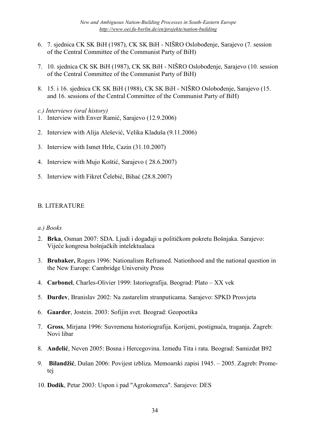- 6. 7. sjednica CK SK BiH (1987), CK SK BiH NIŠRO Oslobođenje, Sarajevo (7. session of the Central Committee of the Communist Party of BiH)
- 7. 10. sjednica CK SK BiH (1987), CK SK BiH NIŠRO Oslobođenje, Sarajevo (10. session of the Central Committee of the Communist Party of BiH)
- 8. 15. i 16. sjednica CK SK BiH (1988), CK SK BiH NIŠRO Oslobođenje, Sarajevo (15. and 16. sessions of the Central Committee of the Communist Party of BiH)
- *c.) Interviews (oral history)*
- 1. Interview with Enver Ramić, Sarajevo (12.9.2006)
- 2. Interview with Alija Alešević, Velika Kladuša (9.11.2006)
- 3. Interview with Ismet Hrle, Cazin (31.10.2007)
- 4. Interview with Mujo Koštić, Sarajevo ( 28.6.2007)
- 5. Interview with Fikret Čelebić, Bihać (28.8.2007)

## B. LITERATURE

## *a.) Books*

- 2. **Brka**, Osman 2007: SDA. Ljudi i događaji u političkom pokretu Bošnjaka. Sarajevo: Vijeće kongresa bošnjačkih intelektualaca
- 3. **Brubaker,** Rogers 1996: Nationalism Reframed. Nationhood and the national question in the New Europe: Cambridge University Press
- 4. **Carbonel**, Charles-Olivier 1999: Istoriografija. Beograd: Plato XX vek
- 5. **Đurđev**, Branislav 2002: Na zastarelim stranputicama. Sarajevo: SPKD Prosvjeta
- 6. **Gaarder**, Jostein. 2003: Sofijin svet. Beograd: Geopoetika
- 7. **Gross**, Mirjana 1996: Suvremena historiografija. Korijeni, postignuća, traganja. Zagreb: Novi libar
- 8. **Anđelić**, Neven 2005: Bosna i Hercegovina. Između Tita i rata. Beograd: Samizdat B92
- 9. **Bilandžić**, Dušan 2006: Povijest izbliza. Memoarski zapisi 1945. 2005. Zagreb: Prometej
- 10. **Dodik**, Petar 2003: Uspon i pad "Agrokomerca". Sarajevo: DES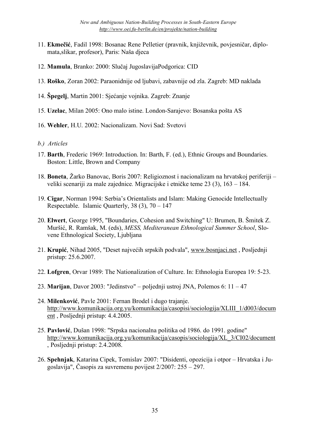- 11. **Ekmečić**, Fadil 1998: Bosanac Rene Pelletier (pravnik, književnik, povjesničar, diplomata,slikar, profesor), Paris: Naša djeca
- 12. **Mamula**, Branko: 2000: Slučaj JugoslavijaPodgorica: CID
- 13. **Roško**, Zoran 2002: Paraonidnije od ljubavi, zabavnije od zla. Zagreb: MD naklada
- 14. **Špegelj**, Martin 2001: Sjećanje vojnika. Zagreb: Znanje
- 15. **Uzelac**, Milan 2005: Ono malo istine. London-Sarajevo: Bosanska pošta AS
- 16. **Wehler**, H.U. 2002: Nacionalizam. Novi Sad: Svetovi
- *b.) Articles*
- 17. **Barth**, Frederic 1969: Introduction. In: Barth, F. (ed.), Ethnic Groups and Boundaries. Boston: Little, Brown and Company
- 18. **Boneta**, Žarko Banovac, Boris 2007: Religioznost i nacionalizam na hrvatskoj periferiji veliki scenariji za male zajednice*.* Migracijske i etničke teme 23 (3), 163 – 184.
- 19. **Cigar**, Norman 1994: Serbia's Orientalists and Islam: Making Genocide Intellectually Respectable. Islamic Quarterly, 38 (3), 70 – 147
- 20. **Elwert**, George 1995, "Boundaries, Cohesion and Switching" U: Brumen, B. Šmitek Z. Muršić, R. Ramšak, M. (eds), *MESS, Mediteranean Ethnological Summer School*, Slovene Ethnological Society, Ljubljana
- 21. **Krupić**, Nihad 2005, "Deset najvećih srpskih podvala", www.bosnjaci.net , Posljednji pristup: 25.6.2007.
- 22. **Lofgren**, Orvar 1989: The Nationalization of Culture. In: Ethnologia Europea 19: 5-23.
- 23. **Marijan**, Davor 2003: "Jedinstvo" poljednji ustroj JNA, Polemos 6: 11 47
- 24. **Milenković**, Pavle 2001: Fernan Brodel i dugo trajanje. http://www.komunikacija.org.yu/komunikacija/casopisi/sociologija/XLIII\_1/d003/docum ent , Posljednji pristup: 4.4.2005.
- 25. **Pavlović**, Dušan 1998: "Srpska nacionalna politika od 1986. do 1991. godine" http://www.komunikacija.org.yu/komunikacija/casopis/sociologija/XL\_3/CI02/document , Posljednji pristup: 2.4.2008.
- 26. **Spehnjak**, Katarina Cipek, Tomislav 2007: "Disidenti, opozicija i otpor Hrvatska i Jugoslavija", Časopis za suvremenu povijest 2/2007: 255 – 297.